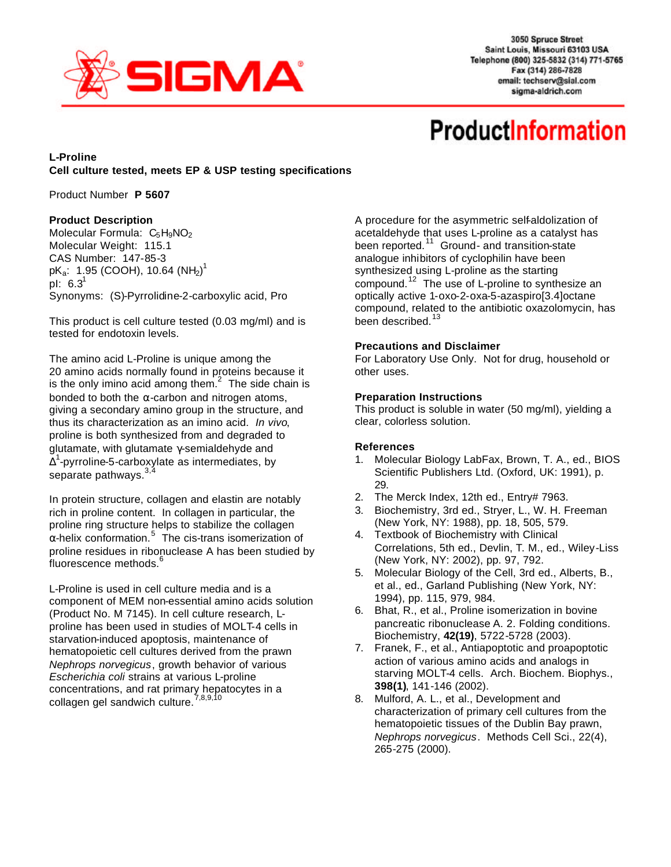

3050 Spruce Street Saint Louis, Missouri 63103 USA Telephone (800) 325-5832 (314) 771-5765 Fax (314) 286-7828 email: techserv@sial.com sigma-aldrich.com

# **ProductInformation**

# **L-Proline Cell culture tested, meets EP & USP testing specifications**

Product Number **P 5607**

## **Product Description**

Molecular Formula:  $C_5H_9NO_2$ Molecular Weight: 115.1 CAS Number: 147-85-3 pK $_{\rm a}$ : 1.95 (COOH), 10.64 (NH $_{\rm 2})^{\rm 1}$ pl:  $6.3^1$ Synonyms: (S)-Pyrrolidine-2-carboxylic acid, Pro

This product is cell culture tested (0.03 mg/ml) and is tested for endotoxin levels.

The amino acid L-Proline is unique among the 20 amino acids normally found in proteins because it is the only imino acid among them.<sup>2</sup> The side chain is bonded to both the  $α$ -carbon and nitrogen atoms, giving a secondary amino group in the structure, and thus its characterization as an imino acid. *In vivo*, proline is both synthesized from and degraded to glutamate, with glutamate γ-semialdehyde and  $\tilde{\Delta}^1$ -pyrroline-5-carboxylate as intermediates, by separate pathways.<sup>3</sup>

In protein structure, collagen and elastin are notably rich in proline content. In collagen in particular, the proline ring structure helps to stabilize the collagen  $\alpha$ -helix conformation.<sup>5</sup> The cis-trans isomerization of proline residues in ribonuclease A has been studied by fluorescence methods.<sup>6</sup>

L-Proline is used in cell culture media and is a component of MEM non-essential amino acids solution (Product No. M 7145). In cell culture research, Lproline has been used in studies of MOLT-4 cells in starvation-induced apoptosis, maintenance of hematopoietic cell cultures derived from the prawn *Nephrops norvegicus*, growth behavior of various *Escherichia coli* strains at various L-proline concentrations, and rat primary hepatocytes in a collagen gel sandwich culture.<sup>7,8,9,10</sup>

A procedure for the asymmetric self-aldolization of acetaldehyde that uses L-proline as a catalyst has been reported.<sup>11</sup> Ground- and transition-state analogue inhibitors of cyclophilin have been synthesized using L-proline as the starting compound.<sup>12</sup> The use of L-proline to synthesize an optically active 1-oxo-2-oxa-5-azaspiro[3.4]octane compound, related to the antibiotic oxazolomycin, has been described.<sup>13</sup>

## **Precautions and Disclaimer**

For Laboratory Use Only. Not for drug, household or other uses.

#### **Preparation Instructions**

This product is soluble in water (50 mg/ml), yielding a clear, colorless solution.

#### **References**

- 1. Molecular Biology LabFax, Brown, T. A., ed., BIOS Scientific Publishers Ltd. (Oxford, UK: 1991), p. 29.
- 2. The Merck Index, 12th ed., Entry# 7963.
- 3. Biochemistry, 3rd ed., Stryer, L., W. H. Freeman (New York, NY: 1988), pp. 18, 505, 579.
- 4. Textbook of Biochemistry with Clinical Correlations, 5th ed., Devlin, T. M., ed., Wiley-Liss (New York, NY: 2002), pp. 97, 792.
- 5. Molecular Biology of the Cell, 3rd ed., Alberts, B., et al., ed., Garland Publishing (New York, NY: 1994), pp. 115, 979, 984.
- 6. Bhat, R., et al., Proline isomerization in bovine pancreatic ribonuclease A. 2. Folding conditions. Biochemistry, **42(19)**, 5722-5728 (2003).
- 7. Franek, F., et al., Antiapoptotic and proapoptotic action of various amino acids and analogs in starving MOLT-4 cells. Arch. Biochem. Biophys., **398(1)**, 141-146 (2002).
- 8. Mulford, A. L., et al., Development and characterization of primary cell cultures from the hematopoietic tissues of the Dublin Bay prawn, *Nephrops norvegicus*. Methods Cell Sci., 22(4), 265-275 (2000).